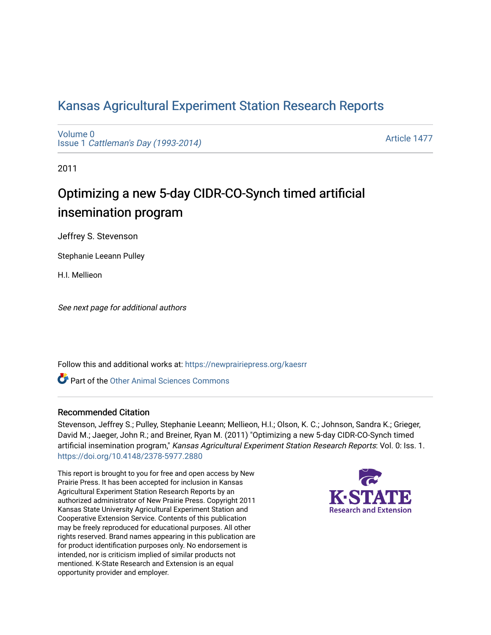# [Kansas Agricultural Experiment Station Research Reports](https://newprairiepress.org/kaesrr)

[Volume 0](https://newprairiepress.org/kaesrr/vol0) Issue 1 [Cattleman's Day \(1993-2014\)](https://newprairiepress.org/kaesrr/vol0/iss1) 

[Article 1477](https://newprairiepress.org/kaesrr/vol0/iss1/1477) 

2011

# Optimizing a new 5-day CIDR-CO-Synch timed artificial insemination program

Jeffrey S. Stevenson

Stephanie Leeann Pulley

H.I. Mellieon

See next page for additional authors

Follow this and additional works at: [https://newprairiepress.org/kaesrr](https://newprairiepress.org/kaesrr?utm_source=newprairiepress.org%2Fkaesrr%2Fvol0%2Fiss1%2F1477&utm_medium=PDF&utm_campaign=PDFCoverPages) 

Part of the [Other Animal Sciences Commons](http://network.bepress.com/hgg/discipline/82?utm_source=newprairiepress.org%2Fkaesrr%2Fvol0%2Fiss1%2F1477&utm_medium=PDF&utm_campaign=PDFCoverPages)

#### Recommended Citation

Stevenson, Jeffrey S.; Pulley, Stephanie Leeann; Mellieon, H.I.; Olson, K. C.; Johnson, Sandra K.; Grieger, David M.; Jaeger, John R.; and Breiner, Ryan M. (2011) "Optimizing a new 5-day CIDR-CO-Synch timed artificial insemination program," Kansas Agricultural Experiment Station Research Reports: Vol. 0: Iss. 1. <https://doi.org/10.4148/2378-5977.2880>

This report is brought to you for free and open access by New Prairie Press. It has been accepted for inclusion in Kansas Agricultural Experiment Station Research Reports by an authorized administrator of New Prairie Press. Copyright 2011 Kansas State University Agricultural Experiment Station and Cooperative Extension Service. Contents of this publication may be freely reproduced for educational purposes. All other rights reserved. Brand names appearing in this publication are for product identification purposes only. No endorsement is intended, nor is criticism implied of similar products not mentioned. K-State Research and Extension is an equal opportunity provider and employer.

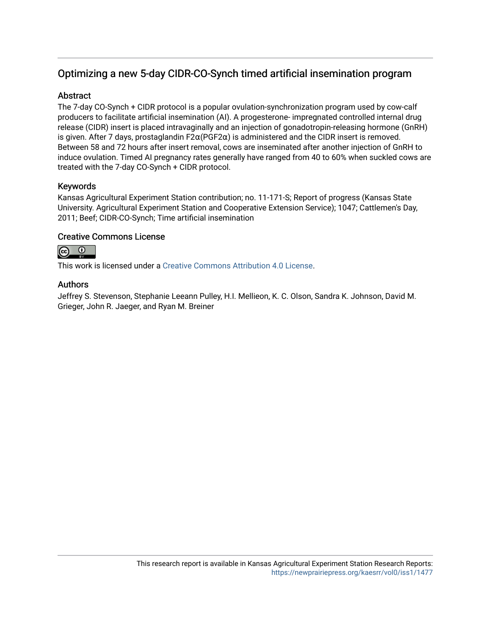# Optimizing a new 5-day CIDR-CO-Synch timed artificial insemination program

#### **Abstract**

The 7-day CO-Synch + CIDR protocol is a popular ovulation-synchronization program used by cow-calf producers to facilitate artificial insemination (AI). A progesterone- impregnated controlled internal drug release (CIDR) insert is placed intravaginally and an injection of gonadotropin-releasing hormone (GnRH) is given. After 7 days, prostaglandin  $F2\alpha(PGF2\alpha)$  is administered and the CIDR insert is removed. Between 58 and 72 hours after insert removal, cows are inseminated after another injection of GnRH to induce ovulation. Timed AI pregnancy rates generally have ranged from 40 to 60% when suckled cows are treated with the 7-day CO-Synch + CIDR protocol.

### Keywords

Kansas Agricultural Experiment Station contribution; no. 11-171-S; Report of progress (Kansas State University. Agricultural Experiment Station and Cooperative Extension Service); 1047; Cattlemen's Day, 2011; Beef; CIDR-CO-Synch; Time artificial insemination

### Creative Commons License



This work is licensed under a [Creative Commons Attribution 4.0 License](https://creativecommons.org/licenses/by/4.0/).

### Authors

Jeffrey S. Stevenson, Stephanie Leeann Pulley, H.I. Mellieon, K. C. Olson, Sandra K. Johnson, David M. Grieger, John R. Jaeger, and Ryan M. Breiner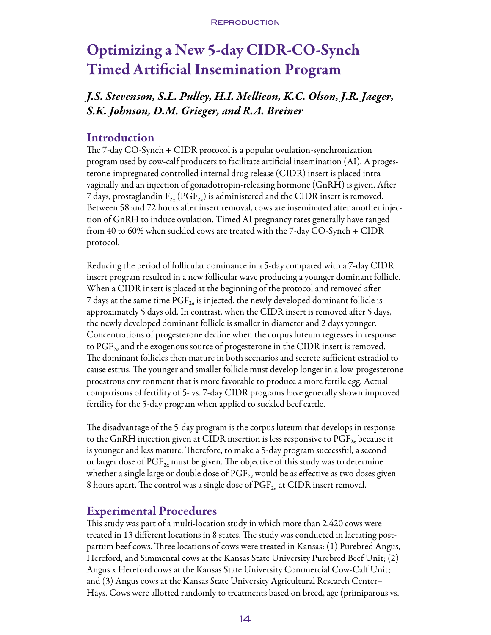# Optimizing a New 5-day CIDR-CO-Synch Timed Artificial Insemination Program

# *J.S. Stevenson, S.L. Pulley, H.I. Mellieon, K.C. Olson, J.R. Jaeger, S.K. Johnson, D.M. Grieger, and R.A. Breiner*

## Introduction

The 7-day CO-Synch + CIDR protocol is a popular ovulation-synchronization program used by cow-calf producers to facilitate artificial insemination (AI). A progesterone-impregnated controlled internal drug release (CIDR) insert is placed intravaginally and an injection of gonadotropin-releasing hormone (GnRH) is given. After 7 days, prostaglandin  $F_{2\alpha}$  (PGF $_{2\alpha}$ ) is administered and the CIDR insert is removed. Between 58 and 72 hours after insert removal, cows are inseminated after another injection of GnRH to induce ovulation. Timed AI pregnancy rates generally have ranged from 40 to 60% when suckled cows are treated with the 7-day CO-Synch + CIDR protocol.

Reducing the period of follicular dominance in a 5-day compared with a 7-day CIDR insert program resulted in a new follicular wave producing a younger dominant follicle. When a CIDR insert is placed at the beginning of the protocol and removed after 7 days at the same time  $\mathrm{PGF}_{2n}$  is injected, the newly developed dominant follicle is approximately 5 days old. In contrast, when the CIDR insert is removed after 5 days, the newly developed dominant follicle is smaller in diameter and 2 days younger. Concentrations of progesterone decline when the corpus luteum regresses in response to  $PGF_{2a}$  and the exogenous source of progesterone in the CIDR insert is removed. The dominant follicles then mature in both scenarios and secrete sufficient estradiol to cause estrus. The younger and smaller follicle must develop longer in a low-progesterone proestrous environment that is more favorable to produce a more fertile egg. Actual comparisons of fertility of 5- vs. 7-day CIDR programs have generally shown improved fertility for the 5-day program when applied to suckled beef cattle.

The disadvantage of the 5-day program is the corpus luteum that develops in response to the GnRH injection given at CIDR insertion is less responsive to  $\mathrm{PGF}_{2a}$  because it is younger and less mature. Therefore, to make a 5-day program successful, a second or larger dose of  $PGF_{2\alpha}$  must be given. The objective of this study was to determine whether a single large or double dose of  $\mathrm{PGF}_{2a}$  would be as effective as two doses given 8 hours apart. The control was a single dose of  $\mathrm{PGF}_{2a}$  at CIDR insert removal.

# Experimental Procedures

This study was part of a multi-location study in which more than 2,420 cows were treated in 13 different locations in 8 states. The study was conducted in lactating postpartum beef cows. Three locations of cows were treated in Kansas: (1) Purebred Angus, Hereford, and Simmental cows at the Kansas State University Purebred Beef Unit; (2) Angus x Hereford cows at the Kansas State University Commercial Cow-Calf Unit; and (3) Angus cows at the Kansas State University Agricultural Research Center– Hays. Cows were allotted randomly to treatments based on breed, age (primiparous vs.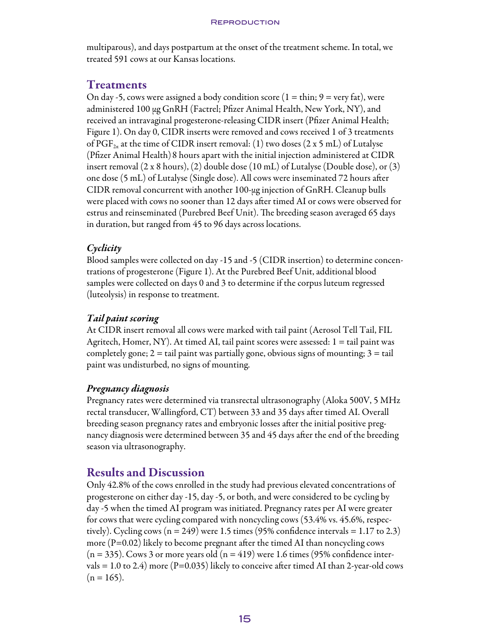multiparous), and days postpartum at the onset of the treatment scheme. In total, we treated 591 cows at our Kansas locations.

# Treatments

On day -5, cows were assigned a body condition score ( $1 = \text{thin}$ ;  $9 = \text{very fat}$ ), were administered 100 μg GnRH (Factrel; Pfizer Animal Health, New York, NY), and received an intravaginal progesterone-releasing CIDR insert (Pfizer Animal Health; Figure 1). On day 0, CIDR inserts were removed and cows received 1 of 3 treatments of PGF<sub>2a</sub> at the time of CIDR insert removal: (1) two doses (2 x 5 mL) of Lutalyse (Pfizer Animal Health)8 hours apart with the initial injection administered at CIDR insert removal (2 x 8 hours), (2) double dose (10 mL) of Lutalyse (Double dose), or (3) one dose (5 mL) of Lutalyse (Single dose). All cows were inseminated 72 hours after CIDR removal concurrent with another 100-μg injection of GnRH. Cleanup bulls were placed with cows no sooner than 12 days after timed AI or cows were observed for estrus and reinseminated (Purebred Beef Unit). The breeding season averaged 65 days in duration, but ranged from 45 to 96 days across locations.

## *Cyclicity*

Blood samples were collected on day -15 and -5 (CIDR insertion) to determine concentrations of progesterone (Figure 1). At the Purebred Beef Unit, additional blood samples were collected on days 0 and 3 to determine if the corpus luteum regressed (luteolysis) in response to treatment.

## *Tail paint scoring*

At CIDR insert removal all cows were marked with tail paint (Aerosol Tell Tail, FIL Agritech, Homer, NY). At timed AI, tail paint scores were assessed:  $1 = \text{tail}$  paint was completely gone;  $2 = \text{tail}$  paint was partially gone, obvious signs of mounting;  $3 = \text{tail}$ paint was undisturbed, no signs of mounting.

## *Pregnancy diagnosis*

Pregnancy rates were determined via transrectal ultrasonography (Aloka 500V, 5 MHz rectal transducer, Wallingford, CT) between 33 and 35 days after timed AI. Overall breeding season pregnancy rates and embryonic losses after the initial positive pregnancy diagnosis were determined between 35 and 45 days after the end of the breeding season via ultrasonography.

# Results and Discussion

Only 42.8% of the cows enrolled in the study had previous elevated concentrations of progesterone on either day -15, day -5, or both, and were considered to be cycling by day -5 when the timed AI program was initiated. Pregnancy rates per AI were greater for cows that were cycling compared with noncycling cows (53.4% vs. 45.6%, respectively). Cycling cows  $(n = 249)$  were 1.5 times (95% confidence intervals = 1.17 to 2.3) more  $(P=0.02)$  likely to become pregnant after the timed AI than noncycling cows  $(n = 335)$ . Cows 3 or more years old  $(n = 419)$  were 1.6 times (95% confidence intervals = 1.0 to 2.4) more (P=0.035) likely to conceive after timed AI than 2-year-old cows  $(n = 165)$ .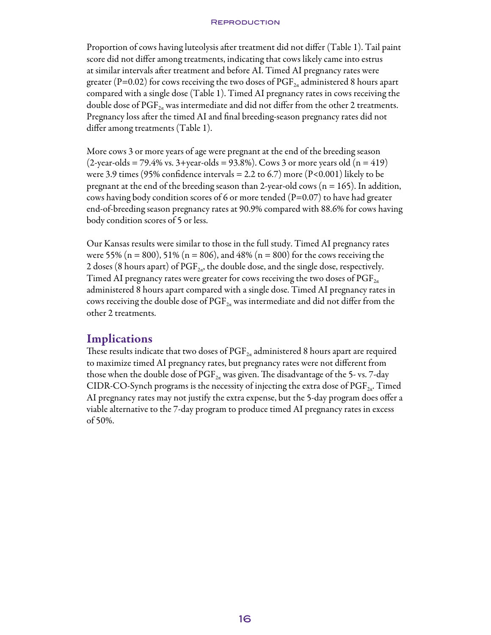#### **REPRODUCTION**

Proportion of cows having luteolysis after treatment did not differ (Table 1). Tail paint score did not differ among treatments, indicating that cows likely came into estrus at similar intervals after treatment and before AI. Timed AI pregnancy rates were greater (P=0.02) for cows receiving the two doses of  $\mathrm{PGF}_{2\alpha}$  administered 8 hours apart compared with a single dose (Table 1). Timed AI pregnancy rates in cows receiving the double dose of  $PGF_{2a}$  was intermediate and did not differ from the other 2 treatments. Pregnancy loss after the timed AI and final breeding-season pregnancy rates did not differ among treatments (Table 1).

More cows 3 or more years of age were pregnant at the end of the breeding season  $(2$ -year-olds = 79.4% vs. 3+year-olds = 93.8%). Cows 3 or more years old  $(n = 419)$ were 3.9 times (95% confidence intervals = 2.2 to 6.7) more (P<0.001) likely to be pregnant at the end of the breeding season than 2-year-old cows ( $n = 165$ ). In addition, cows having body condition scores of 6 or more tended (P=0.07) to have had greater end-of-breeding season pregnancy rates at 90.9% compared with 88.6% for cows having body condition scores of 5 or less.

Our Kansas results were similar to those in the full study. Timed AI pregnancy rates were 55% (n = 800), 51% (n = 806), and 48% (n = 800) for the cows receiving the 2 doses (8 hours apart) of  $\mathrm{PGF}_{2a}$ , the double dose, and the single dose, respectively. Timed AI pregnancy rates were greater for cows receiving the two doses of  $\mathrm{PGF}_{2a}$ administered 8 hours apart compared with a single dose. Timed AI pregnancy rates in cows receiving the double dose of  $PGF_{2\alpha}$  was intermediate and did not differ from the other 2 treatments.

## **Implications**

These results indicate that two doses of  $\mathrm{PGF}_{2a}$  administered 8 hours apart are required to maximize timed AI pregnancy rates, but pregnancy rates were not different from those when the double dose of  $PGF_{2a}$  was given. The disadvantage of the 5- vs. 7-day CIDR-CO-Synch programs is the necessity of injecting the extra dose of  $\mathrm{PGF}_{2a}$ . Timed AI pregnancy rates may not justify the extra expense, but the 5-day program does offer a viable alternative to the 7-day program to produce timed AI pregnancy rates in excess of 50%.